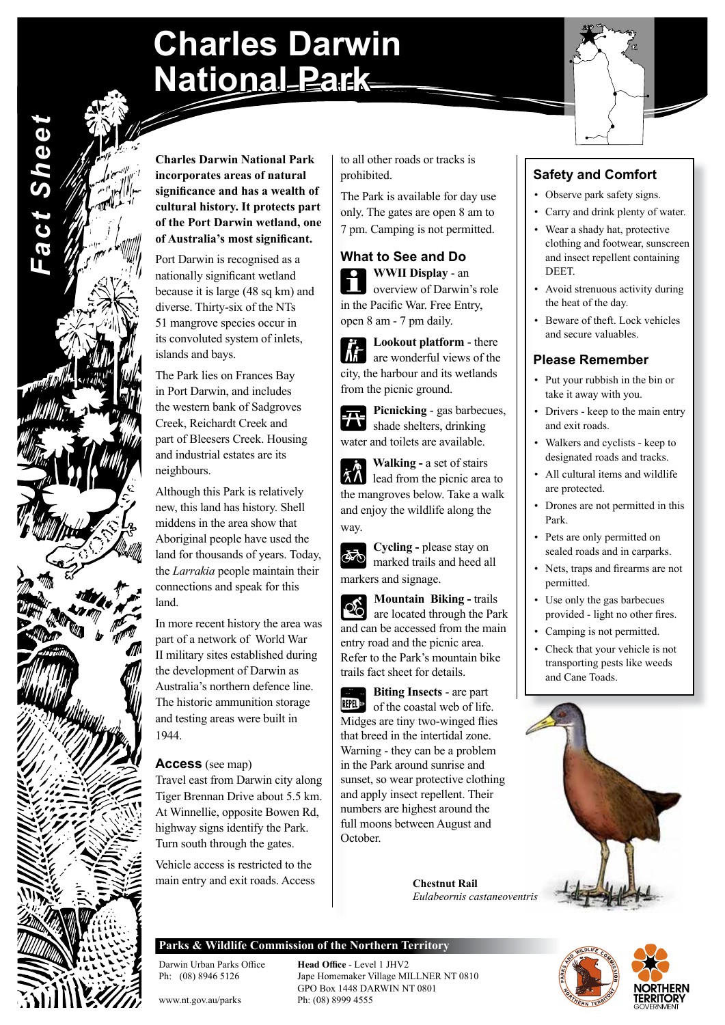# **Charles Darwin National Park**

#### **Charles Darwin National Park incorporates areas of natural significance and has a wealth of cultural history. It protects part of the Port Darwin wetland, one of Australia's most significant.**

*Fact Sheet*

**Fact Sheet** 

Port Darwin is recognised as a nationally significant wetland because it is large (48 sq km) and diverse. Thirty-six of the NTs 51 mangrove species occur in its convoluted system of inlets, islands and bays.

The Park lies on Frances Bay in Port Darwin, and includes the western bank of Sadgroves Creek, Reichardt Creek and part of Bleesers Creek. Housing and industrial estates are its neighbours.

Although this Park is relatively new, this land has history. Shell middens in the area show that Aboriginal people have used the land for thousands of years. Today, the *Larrakia* people maintain their connections and speak for this land.

In more recent history the area was part of a network of World War II military sites established during the development of Darwin as Australia's northern defence line. The historic ammunition storage and testing areas were built in 1944.

#### **Access** (see map)

Travel east from Darwin city along Tiger Brennan Drive about 5.5 km. At Winnellie, opposite Bowen Rd, highway signs identify the Park. Turn south through the gates.

Vehicle access is restricted to the main entry and exit roads. Access to all other roads or tracks is prohibited.

The Park is available for day use only. The gates are open 8 am to 7 pm. Camping is not permitted.

#### **What to See and Do WWII Display** - an

overview of Darwin's role in the Pacific War. Free Entry, open 8 am - 7 pm daily.

**Lookout platform** - there are wonderful views of the city, the harbour and its wetlands from the picnic ground.

**Picnicking** - gas barbecues, shade shelters, drinking water and toilets are available.

**Walking -** a set of stairs lead from the picnic area to the mangroves below. Take a walk and enjoy the wildlife along the way.

**Cycling -** please stay on ক্টেঠ marked trails and heed all markers and signage.

**Mountain Biking -** trails are located through the Park and can be accessed from the main entry road and the picnic area. Refer to the Park's mountain bike trails fact sheet for details.

**Biting Insects** - are part REPELD of the coastal web of life. Midges are tiny two-winged flies that breed in the intertidal zone. Warning - they can be a problem in the Park around sunrise and sunset, so wear protective clothing and apply insect repellent. Their numbers are highest around the full moons between August and October.

> **Chestnut Rail** *Eulabeornis castaneoventris*

## **Safety and Comfort**

- Observe park safety signs.
- Carry and drink plenty of water.
- Wear a shady hat, protective clothing and footwear, sunscreen and insect repellent containing DEET.
- Avoid strenuous activity during the heat of the day.
- Beware of theft. Lock vehicles and secure valuables.

### **Please Remember**

- Put your rubbish in the bin or take it away with you.
- Drivers keep to the main entry and exit roads.
- Walkers and cyclists keep to designated roads and tracks.
- All cultural items and wildlife are protected.
- Drones are not permitted in this Park.
- Pets are only permitted on sealed roads and in carparks.
- Nets, traps and firearms are not permitted.
- Use only the gas barbecues provided - light no other fires.
- Camping is not permitted.
- Check that your vehicle is not transporting pests like weeds and Cane Toads.



#### **Parks & Wildlife Commission of the Northern Territory**

www.nt.gov.au/parks Ph: (08) 8999 4555

Darwin Urban Parks Office **Head Office** - Level 1 JHV2<br>Ph: (08) 8946 5126 Jape Homemaker Village MI Jape Homemaker Village MILLNER NT 0810 GPO Box 1448 DARWIN NT 0801